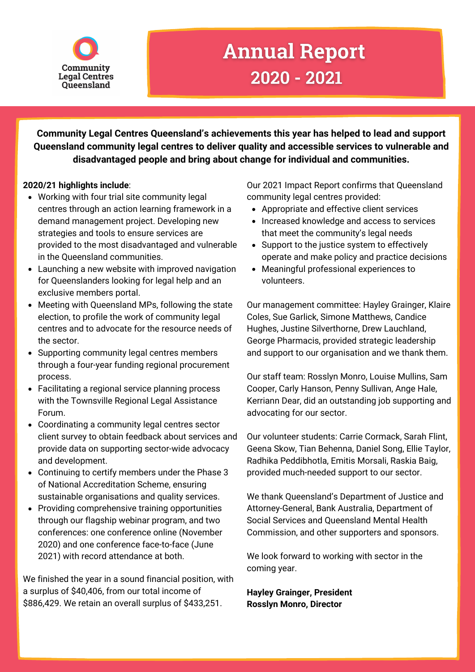

## **Annual Report** 2020 - 2021

**Community Legal Centres Queensland's achievements this year has helped to lead and support Queensland community legal centres to deliver quality and accessible services to vulnerable and disadvantaged people and bring about change for individual and communities.**

## **2020/21 highlights include**:

- Working with four trial site community legal centres through an action learning framework in a demand management project. Developing new strategies and tools to ensure services are provided to the most disadvantaged and vulnerable in the Queensland communities.
- Launching a new website with improved navigation for Queenslanders looking for legal help and an exclusive members portal.
- Meeting with Queensland MPs, following the state election, to profile the work of community legal centres and to advocate for the resource needs of the sector.
- Supporting community legal centres members through a four-year funding regional procurement process.
- Facilitating a regional service planning process with the Townsville Regional Legal Assistance Forum.
- Coordinating a community legal centres sector client survey to obtain feedback about services and provide data on supporting sector-wide advocacy and development.
- Continuing to certify members under the Phase 3 of National Accreditation Scheme, ensuring sustainable organisations and quality services.
- Providing comprehensive training opportunities through our flagship webinar program, and two conferences: one conference online (November 2020) and one conference face-to-face (June 2021) with record attendance at both.

We finished the year in a sound financial position, with a surplus of \$40,406, from our total income of \$886,429. We retain an overall surplus of \$433,251.

Our 2021 Impact Report confirms that Queensland community legal centres provided:

- Appropriate and effective client services
- Increased knowledge and access to services that meet the community's legal needs
- Support to the justice system to effectively operate and make policy and practice decisions
- Meaningful professional experiences to volunteers.

Our management committee: Hayley Grainger, Klaire Coles, Sue Garlick, Simone Matthews, Candice Hughes, Justine Silverthorne, Drew Lauchland, George Pharmacis, provided strategic leadership and support to our organisation and we thank them.

Our staff team: Rosslyn Monro, Louise Mullins, Sam Cooper, Carly Hanson, Penny Sullivan, Ange Hale, Kerriann Dear, did an outstanding job supporting and advocating for our sector.

Our volunteer students: Carrie Cormack, Sarah Flint, Geena Skow, Tian Behenna, Daniel Song, Ellie Taylor, Radhika Peddibhotla, Emitis Morsali, Raskia Baig, provided much-needed support to our sector.

We thank Queensland's Department of Justice and Attorney-General, Bank Australia, Department of Social Services and Queensland Mental Health Commission, and other supporters and sponsors.

We look forward to working with sector in the coming year.

**Hayley Grainger, President Rosslyn Monro, Director**